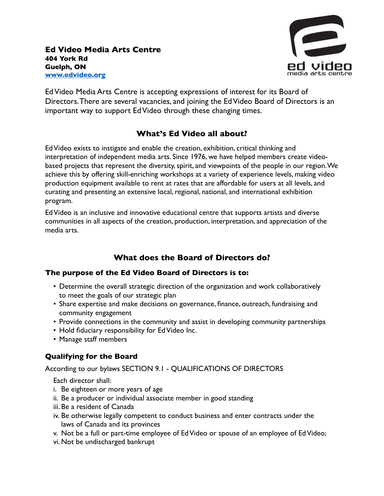

Ed Video Media Arts Centre is accepting expressions of interest for its Board of Directors. There are several vacancies, and joining the Ed Video Board of Directors is an important way to support Ed Video through these changing times.

# **What's Ed Video all about?**

Ed Video exists to instigate and enable the creation, exhibition, critical thinking and interpretation of independent media arts. Since 1976, we have helped members create videobased projects that represent the diversity, spirit, and viewpoints of the people in our region. We achieve this by offering skill-enriching workshops at a variety of experience levels, making video production equipment available to rent at rates that are affordable for users at all levels, and curating and presenting an extensive local, regional, national, and international exhibition program.

Ed Video is an inclusive and innovative educational centre that supports artists and diverse communities in all aspects of the creation, production, interpretation, and appreciation of the media arts.

## **What does the Board of Directors do?**

### **The purpose of the Ed Video Board of Directors is to:**

- Determine the overall strategic direction of the organization and work collaboratively to meet the goals of our strategic plan
- Share expertise and make decisions on governance, finance, outreach, fundraising and community engagement
- Provide connections in the community and assist in developing community partnerships
- Hold fiduciary responsibility for Ed Video Inc.
- Manage staff members

## **Qualifying for the Board**

According to our bylaws SECTION 9.1 - QUALIFICATIONS OF DIRECTORS

Each director shall:

- i. Be eighteen or more years of age
- ii. Be a producer or individual associate member in good standing
- iii. Be a resident of Canada
- iv. Be otherwise legally competent to conduct business and enter contracts under the laws of Canada and its provinces
- v. Not be a full or part-time employee of Ed Video or spouse of an employee of Ed Video;
- vi. Not be undischarged bankrupt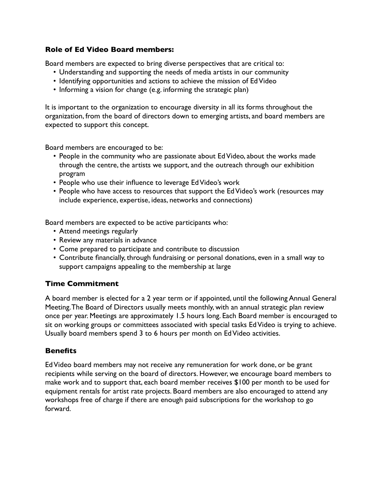#### **Role of Ed Video Board members:**

Board members are expected to bring diverse perspectives that are critical to:

- Understanding and supporting the needs of media artists in our community
- Identifying opportunities and actions to achieve the mission of Ed Video
- Informing a vision for change (e.g. informing the strategic plan)

It is important to the organization to encourage diversity in all its forms throughout the organization, from the board of directors down to emerging artists, and board members are expected to support this concept.

Board members are encouraged to be:

- People in the community who are passionate about Ed Video, about the works made through the centre, the artists we support, and the outreach through our exhibition program
- People who use their influence to leverage Ed Video's work
- People who have access to resources that support the Ed Video's work (resources may include experience, expertise, ideas, networks and connections)

Board members are expected to be active participants who:

- Attend meetings regularly
- Review any materials in advance
- Come prepared to participate and contribute to discussion
- Contribute financially, through fundraising or personal donations, even in a small way to support campaigns appealing to the membership at large

### **Time Commitment**

A board member is elected for a 2 year term or if appointed, until the following Annual General Meeting. The Board of Directors usually meets monthly, with an annual strategic plan review once per year. Meetings are approximately 1.5 hours long. Each Board member is encouraged to sit on working groups or committees associated with special tasks Ed Video is trying to achieve. Usually board members spend 3 to 6 hours per month on Ed Video activities.

### **Benefits**

Ed Video board members may not receive any remuneration for work done, or be grant recipients while serving on the board of directors. However, we encourage board members to make work and to support that, each board member receives \$100 per month to be used for equipment rentals for artist rate projects. Board members are also encouraged to attend any workshops free of charge if there are enough paid subscriptions for the workshop to go forward.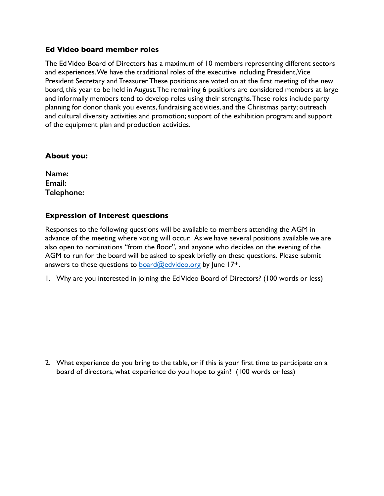#### **Ed Video board member roles**

The Ed Video Board of Directors has a maximum of 10 members representing different sectors and experiences. We have the traditional roles of the executive including President, Vice President Secretary and Treasurer. These positions are voted on at the first meeting of the new board, this year to be held in August. The remaining 6 positions are considered members at large and informally members tend to develop roles using their strengths. These roles include party planning for donor thank you events, fundraising activities, and the Christmas party; outreach and cultural diversity activities and promotion; support of the exhibition program; and support of the equipment plan and production activities.

#### **About you:**

**Name: Email: Telephone:** 

#### **Expression of Interest questions**

Responses to the following questions will be available to members attending the AGM in advance of the meeting where voting will occur. As we have several positions available we are also open to nominations "from the floor", and anyone who decides on the evening of the AGM to run for the board will be asked to speak briefly on these questions. Please submit answers to these questions to board@edvideo.org by June 17<sup>th</sup>.

1. Why are you interested in joining the Ed Video Board of Directors? (100 words or less)

2. What experience do you bring to the table, or if this is your first time to participate on a board of directors, what experience do you hope to gain? (100 words or less)